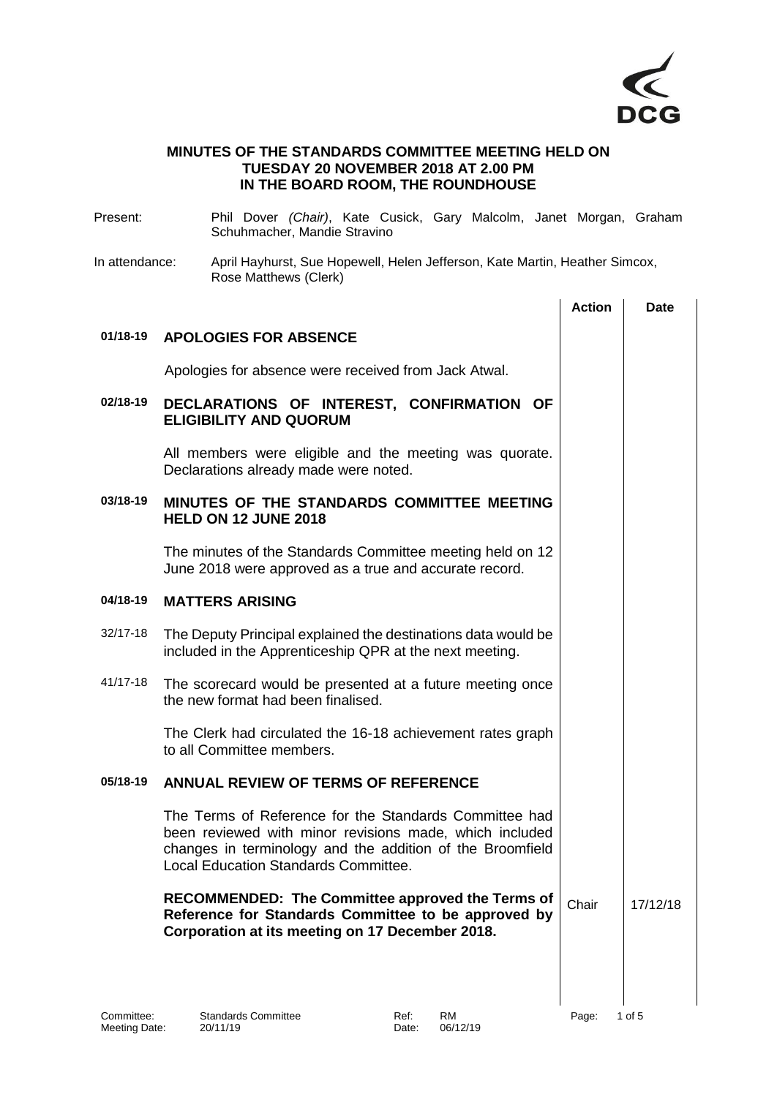

## **MINUTES OF THE STANDARDS COMMITTEE MEETING HELD ON TUESDAY 20 NOVEMBER 2018 AT 2.00 PM IN THE BOARD ROOM, THE ROUNDHOUSE**

| Present:                                                                                                               | Phil Dover (Chair), Kate Cusick, Gary Malcolm, Janet Morgan, Graham<br>Schuhmacher, Mandie Stravino                                                                                                                           |               |             |
|------------------------------------------------------------------------------------------------------------------------|-------------------------------------------------------------------------------------------------------------------------------------------------------------------------------------------------------------------------------|---------------|-------------|
| In attendance:<br>April Hayhurst, Sue Hopewell, Helen Jefferson, Kate Martin, Heather Simcox,<br>Rose Matthews (Clerk) |                                                                                                                                                                                                                               |               |             |
|                                                                                                                        |                                                                                                                                                                                                                               | <b>Action</b> | <b>Date</b> |
| 01/18-19                                                                                                               | <b>APOLOGIES FOR ABSENCE</b>                                                                                                                                                                                                  |               |             |
|                                                                                                                        | Apologies for absence were received from Jack Atwal.                                                                                                                                                                          |               |             |
| 02/18-19                                                                                                               | DECLARATIONS OF INTEREST, CONFIRMATION OF<br><b>ELIGIBILITY AND QUORUM</b>                                                                                                                                                    |               |             |
|                                                                                                                        | All members were eligible and the meeting was quorate.<br>Declarations already made were noted.                                                                                                                               |               |             |
| 03/18-19                                                                                                               | MINUTES OF THE STANDARDS COMMITTEE MEETING<br><b>HELD ON 12 JUNE 2018</b>                                                                                                                                                     |               |             |
|                                                                                                                        | The minutes of the Standards Committee meeting held on 12<br>June 2018 were approved as a true and accurate record.                                                                                                           |               |             |
| 04/18-19                                                                                                               | <b>MATTERS ARISING</b>                                                                                                                                                                                                        |               |             |
| 32/17-18                                                                                                               | The Deputy Principal explained the destinations data would be<br>included in the Apprenticeship QPR at the next meeting.                                                                                                      |               |             |
| 41/17-18                                                                                                               | The scorecard would be presented at a future meeting once<br>the new format had been finalised.                                                                                                                               |               |             |
|                                                                                                                        | The Clerk had circulated the 16-18 achievement rates graph<br>to all Committee members.                                                                                                                                       |               |             |
| 05/18-19                                                                                                               | <b>ANNUAL REVIEW OF TERMS OF REFERENCE</b>                                                                                                                                                                                    |               |             |
|                                                                                                                        | The Terms of Reference for the Standards Committee had<br>been reviewed with minor revisions made, which included<br>changes in terminology and the addition of the Broomfield<br><b>Local Education Standards Committee.</b> |               |             |
|                                                                                                                        | RECOMMENDED: The Committee approved the Terms of<br>Reference for Standards Committee to be approved by<br>Corporation at its meeting on 17 December 2018.                                                                    | Chair         | 17/12/18    |
|                                                                                                                        |                                                                                                                                                                                                                               |               |             |
|                                                                                                                        |                                                                                                                                                                                                                               |               |             |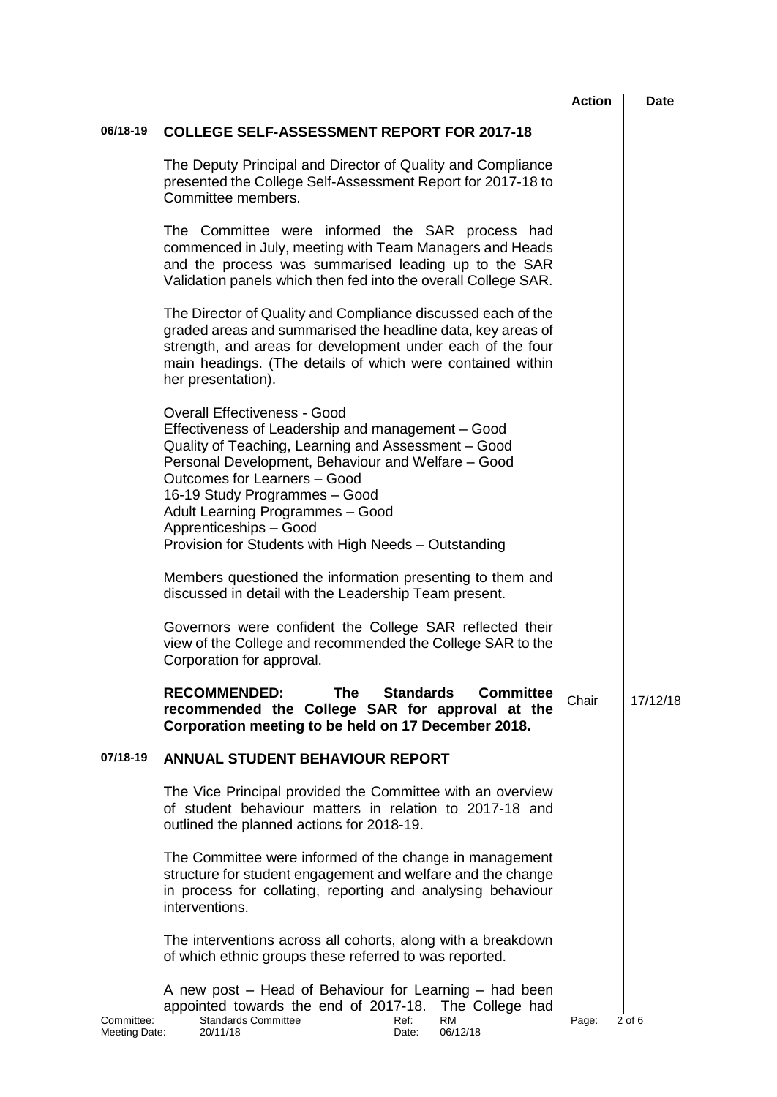|                             |                                                                                                                                                                                                                                                                                                                                                                                              | <b>Action</b> | <b>Date</b> |
|-----------------------------|----------------------------------------------------------------------------------------------------------------------------------------------------------------------------------------------------------------------------------------------------------------------------------------------------------------------------------------------------------------------------------------------|---------------|-------------|
| 06/18-19                    | <b>COLLEGE SELF-ASSESSMENT REPORT FOR 2017-18</b>                                                                                                                                                                                                                                                                                                                                            |               |             |
|                             | The Deputy Principal and Director of Quality and Compliance<br>presented the College Self-Assessment Report for 2017-18 to<br>Committee members.                                                                                                                                                                                                                                             |               |             |
|                             | The Committee were informed the SAR process had<br>commenced in July, meeting with Team Managers and Heads<br>and the process was summarised leading up to the SAR<br>Validation panels which then fed into the overall College SAR.                                                                                                                                                         |               |             |
|                             | The Director of Quality and Compliance discussed each of the<br>graded areas and summarised the headline data, key areas of<br>strength, and areas for development under each of the four<br>main headings. (The details of which were contained within<br>her presentation).                                                                                                                |               |             |
|                             | <b>Overall Effectiveness - Good</b><br>Effectiveness of Leadership and management - Good<br>Quality of Teaching, Learning and Assessment - Good<br>Personal Development, Behaviour and Welfare - Good<br>Outcomes for Learners - Good<br>16-19 Study Programmes - Good<br>Adult Learning Programmes - Good<br>Apprenticeships - Good<br>Provision for Students with High Needs - Outstanding |               |             |
|                             | Members questioned the information presenting to them and<br>discussed in detail with the Leadership Team present.                                                                                                                                                                                                                                                                           |               |             |
|                             | Governors were confident the College SAR reflected their<br>view of the College and recommended the College SAR to the<br>Corporation for approval.                                                                                                                                                                                                                                          |               |             |
|                             | <b>RECOMMENDED:</b><br><b>The</b><br><b>Standards</b><br><b>Committee</b><br>recommended the College SAR for approval at the<br>Corporation meeting to be held on 17 December 2018.                                                                                                                                                                                                          | Chair         | 17/12/18    |
| 07/18-19                    | <b>ANNUAL STUDENT BEHAVIOUR REPORT</b>                                                                                                                                                                                                                                                                                                                                                       |               |             |
|                             | The Vice Principal provided the Committee with an overview<br>of student behaviour matters in relation to 2017-18 and<br>outlined the planned actions for 2018-19.                                                                                                                                                                                                                           |               |             |
|                             | The Committee were informed of the change in management<br>structure for student engagement and welfare and the change<br>in process for collating, reporting and analysing behaviour<br>interventions.                                                                                                                                                                                      |               |             |
|                             | The interventions across all cohorts, along with a breakdown<br>of which ethnic groups these referred to was reported.                                                                                                                                                                                                                                                                       |               |             |
| Committee:<br>Meeting Date: | A new post – Head of Behaviour for Learning – had been<br>appointed towards the end of 2017-18.<br>The College had<br><b>Standards Committee</b><br>Ref:<br><b>RM</b><br>06/12/18<br>20/11/18<br>Date:                                                                                                                                                                                       | Page:         | 2 of 6      |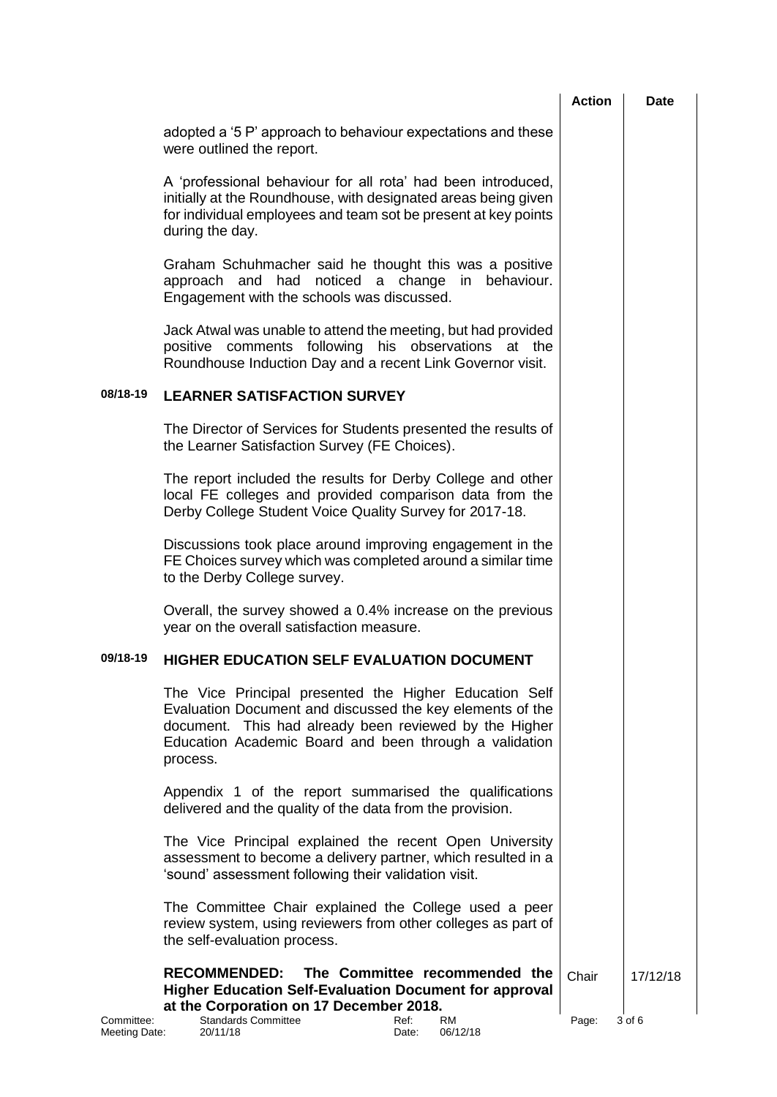|                             |                                                                                                                                                                                                                                                     | <b>Action</b> | <b>Date</b> |
|-----------------------------|-----------------------------------------------------------------------------------------------------------------------------------------------------------------------------------------------------------------------------------------------------|---------------|-------------|
|                             | adopted a '5 P' approach to behaviour expectations and these<br>were outlined the report.                                                                                                                                                           |               |             |
|                             | A 'professional behaviour for all rota' had been introduced,<br>initially at the Roundhouse, with designated areas being given<br>for individual employees and team sot be present at key points<br>during the day.                                 |               |             |
|                             | Graham Schuhmacher said he thought this was a positive<br>approach and had noticed a change<br>in<br>behaviour.<br>Engagement with the schools was discussed.                                                                                       |               |             |
|                             | Jack Atwal was unable to attend the meeting, but had provided<br>positive comments following<br>his observations at the<br>Roundhouse Induction Day and a recent Link Governor visit.                                                               |               |             |
| 08/18-19                    | <b>LEARNER SATISFACTION SURVEY</b>                                                                                                                                                                                                                  |               |             |
|                             | The Director of Services for Students presented the results of<br>the Learner Satisfaction Survey (FE Choices).                                                                                                                                     |               |             |
|                             | The report included the results for Derby College and other<br>local FE colleges and provided comparison data from the<br>Derby College Student Voice Quality Survey for 2017-18.                                                                   |               |             |
|                             | Discussions took place around improving engagement in the<br>FE Choices survey which was completed around a similar time<br>to the Derby College survey.                                                                                            |               |             |
|                             | Overall, the survey showed a 0.4% increase on the previous<br>year on the overall satisfaction measure.                                                                                                                                             |               |             |
| 09/18-19                    | HIGHER EDUCATION SELF EVALUATION DOCUMENT                                                                                                                                                                                                           |               |             |
|                             | The Vice Principal presented the Higher Education Self<br>Evaluation Document and discussed the key elements of the<br>document. This had already been reviewed by the Higher<br>Education Academic Board and been through a validation<br>process. |               |             |
|                             | Appendix 1 of the report summarised the qualifications<br>delivered and the quality of the data from the provision.                                                                                                                                 |               |             |
|                             | The Vice Principal explained the recent Open University<br>assessment to become a delivery partner, which resulted in a<br>'sound' assessment following their validation visit.                                                                     |               |             |
|                             | The Committee Chair explained the College used a peer<br>review system, using reviewers from other colleges as part of<br>the self-evaluation process.                                                                                              |               |             |
|                             | The Committee recommended the<br><b>RECOMMENDED:</b><br><b>Higher Education Self-Evaluation Document for approval</b><br>at the Corporation on 17 December 2018.                                                                                    | Chair         | 17/12/18    |
| Committee:<br>Meeting Date: | <b>Standards Committee</b><br>Ref:<br><b>RM</b><br>06/12/18<br>20/11/18<br>Date:                                                                                                                                                                    | Page:         | 3 of 6      |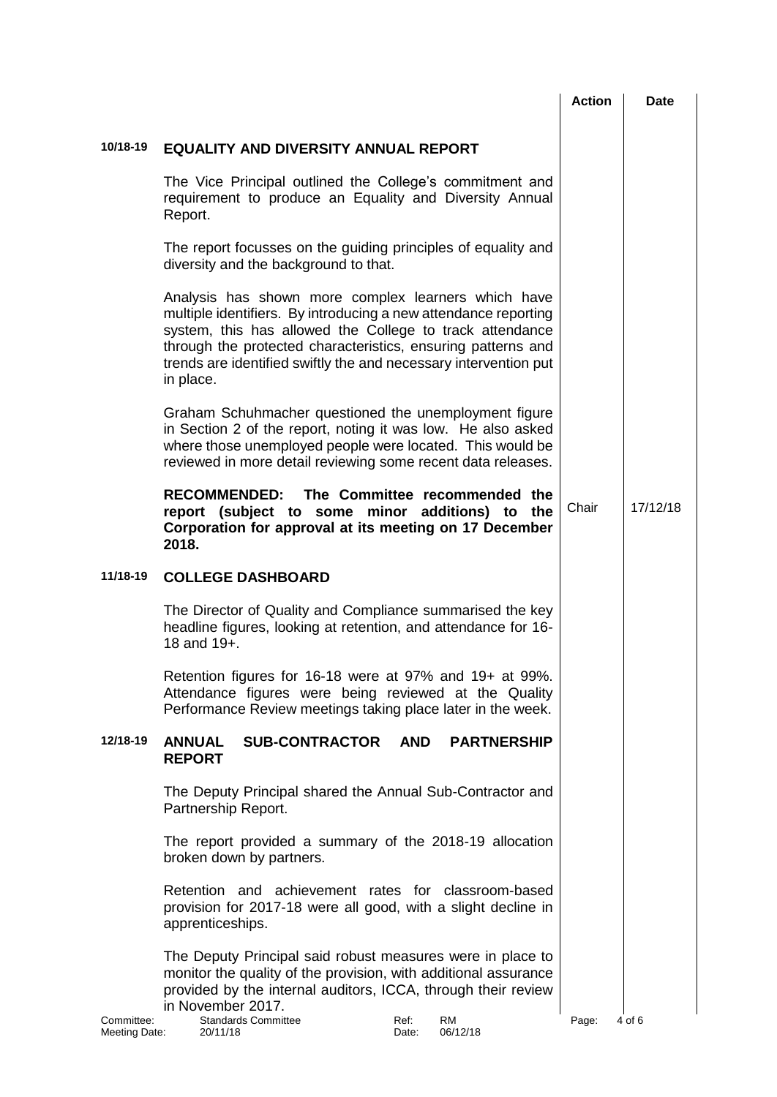|                             |                                                                                                                                                                                                                                                                                                                                     | <b>Action</b> | Date     |
|-----------------------------|-------------------------------------------------------------------------------------------------------------------------------------------------------------------------------------------------------------------------------------------------------------------------------------------------------------------------------------|---------------|----------|
| 10/18-19                    | <b>EQUALITY AND DIVERSITY ANNUAL REPORT</b>                                                                                                                                                                                                                                                                                         |               |          |
|                             | The Vice Principal outlined the College's commitment and<br>requirement to produce an Equality and Diversity Annual<br>Report.                                                                                                                                                                                                      |               |          |
|                             | The report focusses on the guiding principles of equality and<br>diversity and the background to that.                                                                                                                                                                                                                              |               |          |
|                             | Analysis has shown more complex learners which have<br>multiple identifiers. By introducing a new attendance reporting<br>system, this has allowed the College to track attendance<br>through the protected characteristics, ensuring patterns and<br>trends are identified swiftly the and necessary intervention put<br>in place. |               |          |
|                             | Graham Schuhmacher questioned the unemployment figure<br>in Section 2 of the report, noting it was low. He also asked<br>where those unemployed people were located. This would be<br>reviewed in more detail reviewing some recent data releases.                                                                                  |               |          |
|                             | The Committee recommended the<br><b>RECOMMENDED:</b><br>report (subject to some minor additions) to<br>the<br>Corporation for approval at its meeting on 17 December<br>2018.                                                                                                                                                       | Chair         | 17/12/18 |
| 11/18-19                    | <b>COLLEGE DASHBOARD</b>                                                                                                                                                                                                                                                                                                            |               |          |
|                             | The Director of Quality and Compliance summarised the key<br>headline figures, looking at retention, and attendance for 16-<br>18 and 19+.                                                                                                                                                                                          |               |          |
|                             | Retention figures for 16-18 were at 97% and 19+ at 99%.<br>Attendance figures were being reviewed at the Quality<br>Performance Review meetings taking place later in the week.                                                                                                                                                     |               |          |
| 12/18-19                    | <b>SUB-CONTRACTOR</b><br><b>AND</b><br><b>ANNUAL</b><br><b>PARTNERSHIP</b><br><b>REPORT</b>                                                                                                                                                                                                                                         |               |          |
|                             | The Deputy Principal shared the Annual Sub-Contractor and<br>Partnership Report.                                                                                                                                                                                                                                                    |               |          |
|                             | The report provided a summary of the 2018-19 allocation<br>broken down by partners.                                                                                                                                                                                                                                                 |               |          |
|                             | Retention and achievement rates for classroom-based<br>provision for 2017-18 were all good, with a slight decline in<br>apprenticeships.                                                                                                                                                                                            |               |          |
|                             | The Deputy Principal said robust measures were in place to<br>monitor the quality of the provision, with additional assurance<br>provided by the internal auditors, ICCA, through their review<br>in November 2017.                                                                                                                 |               |          |
| Committee:<br>Meeting Date: | <b>Standards Committee</b><br>Ref:<br><b>RM</b><br>06/12/18<br>20/11/18<br>Date:                                                                                                                                                                                                                                                    | Page:         | 4 of 6   |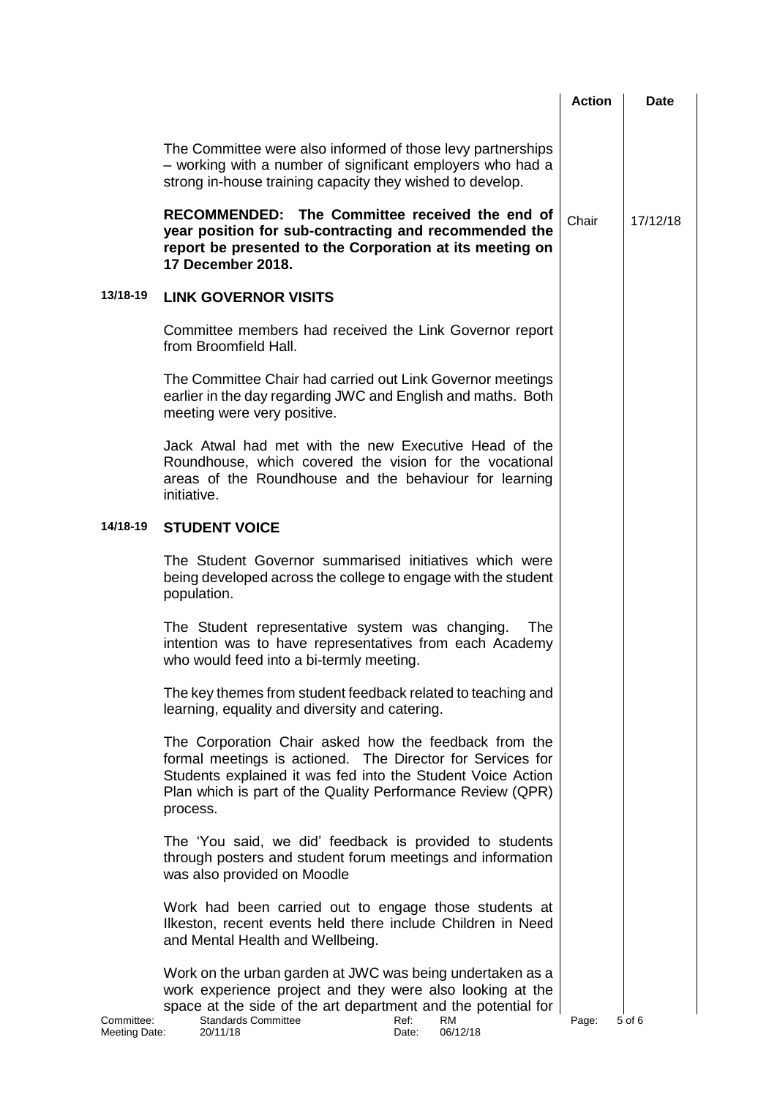|                             |                                                                                                                                                                                                                                                                             | <b>Action</b> | Date     |
|-----------------------------|-----------------------------------------------------------------------------------------------------------------------------------------------------------------------------------------------------------------------------------------------------------------------------|---------------|----------|
|                             | The Committee were also informed of those levy partnerships<br>- working with a number of significant employers who had a<br>strong in-house training capacity they wished to develop.                                                                                      |               |          |
|                             | RECOMMENDED: The Committee received the end of<br>year position for sub-contracting and recommended the<br>report be presented to the Corporation at its meeting on<br><b>17 December 2018.</b>                                                                             | Chair         | 17/12/18 |
| 13/18-19                    | <b>LINK GOVERNOR VISITS</b>                                                                                                                                                                                                                                                 |               |          |
|                             | Committee members had received the Link Governor report<br>from Broomfield Hall.                                                                                                                                                                                            |               |          |
|                             | The Committee Chair had carried out Link Governor meetings<br>earlier in the day regarding JWC and English and maths. Both<br>meeting were very positive.                                                                                                                   |               |          |
|                             | Jack Atwal had met with the new Executive Head of the<br>Roundhouse, which covered the vision for the vocational<br>areas of the Roundhouse and the behaviour for learning<br>initiative.                                                                                   |               |          |
| 14/18-19                    | <b>STUDENT VOICE</b>                                                                                                                                                                                                                                                        |               |          |
|                             | The Student Governor summarised initiatives which were<br>being developed across the college to engage with the student<br>population.                                                                                                                                      |               |          |
|                             | The Student representative system was changing.<br>The<br>intention was to have representatives from each Academy<br>who would feed into a bi-termly meeting.                                                                                                               |               |          |
|                             | The key themes from student feedback related to teaching and<br>learning, equality and diversity and catering.                                                                                                                                                              |               |          |
|                             | The Corporation Chair asked how the feedback from the<br>formal meetings is actioned. The Director for Services for<br>Students explained it was fed into the Student Voice Action<br>Plan which is part of the Quality Performance Review (QPR)<br>process.                |               |          |
|                             | The 'You said, we did' feedback is provided to students<br>through posters and student forum meetings and information<br>was also provided on Moodle                                                                                                                        |               |          |
|                             | Work had been carried out to engage those students at<br>Ilkeston, recent events held there include Children in Need<br>and Mental Health and Wellbeing.                                                                                                                    |               |          |
| Committee:<br>Meeting Date: | Work on the urban garden at JWC was being undertaken as a<br>work experience project and they were also looking at the<br>space at the side of the art department and the potential for<br><b>Standards Committee</b><br>Ref:<br><b>RM</b><br>06/12/18<br>20/11/18<br>Date: | Page:         | 5 of 6   |